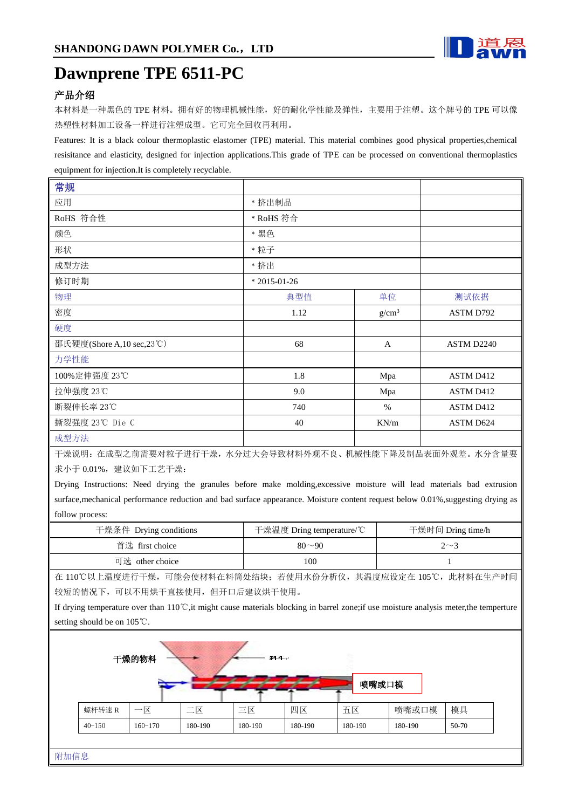

## **Dawnprene TPE 6511-PC**

## 产品介绍

本材料是一种黑色的 TPE 材料。拥有好的物理机械性能,好的耐化学性能及弹性,主要用于注塑。这个牌号的 TPE 可以像 热塑性材料加工设备一样进行注塑成型。它可完全回收再利用。

Features: It is a black colour thermoplastic elastomer (TPE) material. This material combines good physical properties,chemical resisitance and elasticity, designed for injection applications.This grade of TPE can be processed on conventional thermoplastics equipment for injection.It is completely recyclable.

| 常规                       |               |                   |            |
|--------------------------|---------------|-------------------|------------|
| 应用                       | * 挤出制品        |                   |            |
| RoHS 符合性                 | * RoHS 符合     |                   |            |
| 颜色                       | * 黑色          |                   |            |
| 形状                       | * 粒子          |                   |            |
| 成型方法                     | * 挤出          |                   |            |
| 修订时期                     | $*2015-01-26$ |                   |            |
| 物理                       | 典型值           | 单位                | 测试依据       |
| 密度                       | 1.12          | g/cm <sup>3</sup> | ASTM D792  |
| 硬度                       |               |                   |            |
| 邵氏硬度(Shore A,10 sec,23℃) | 68            | $\mathbf{A}$      | ASTM D2240 |
| 力学性能                     |               |                   |            |
| 100%定伸强度 23℃             | 1.8           | Mpa               | ASTM D412  |
| 拉伸强度 23℃                 | 9.0           | Mpa               | ASTM D412  |
| 断裂伸长率 23℃                | 740           | $\%$              | ASTM D412  |
| 撕裂强度 23℃ Die C           | 40            | KN/m              | ASTM D624  |
| 成型方法                     |               |                   |            |

干燥说明:在成型之前需要对粒子进行干燥,水分过大会导致材料外观不良、机械性能下降及制品表面外观差。水分含量要 求小于 0.01%, 建议如下工艺干燥:

Drying Instructions: Need drying the granules before make molding,excessive moisture will lead materials bad extrusion surface,mechanical performance reduction and bad surface appearance. Moisture content request below 0.01%, suggesting drying as follow process:

| 干燥条件 Drying conditions | 干燥温度 Dring temperature/℃ | 干燥时间 Dring time/h |
|------------------------|--------------------------|-------------------|
| 首选 first choice        | $80 - 90$                | $2\sim3$          |
| 可选 other choice        | 100                      |                   |

在 110℃以上温度进行干燥,可能会使材料在料筒处结块;若使用水份分析仪,其温度应设定在 105℃,此材料在生产时间 较短的情况下,可以不用烘干直接使用,但开口后建议烘干使用。

If drying temperature over than 110℃,it might cause materials blocking in barrel zone;if use moisture analysis meter,the temperture setting should be on 105℃.

| 干燥的物料<br>料斗<br>喷嘴或口模 |              |         |         |         |         |         |       |
|----------------------|--------------|---------|---------|---------|---------|---------|-------|
| 螺杆转速 R               | $-\boxtimes$ | 二区      | 三区      | 四区      | 五区      | 喷嘴或口模   | 模具    |
| $40 - 150$           | $160 - 170$  | 180-190 | 180-190 | 180-190 | 180-190 | 180-190 | 50-70 |

附加信息